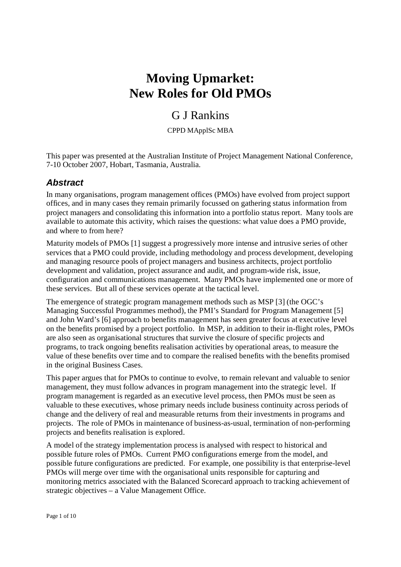## **Moving Upmarket: New Roles for Old PMOs**

## G J Rankins

CPPD MApplSc MBA

This paper was presented at the Australian Institute of Project Management National Conference, 7-10 October 2007, Hobart, Tasmania, Australia.

## *Abstract*

In many organisations, program management offices (PMOs) have evolved from project support offices, and in many cases they remain primarily focussed on gathering status information from project managers and consolidating this information into a portfolio status report. Many tools are available to automate this activity, which raises the questions: what value does a PMO provide, and where to from here?

Maturity models of PMOs [1] suggest a progressively more intense and intrusive series of other services that a PMO could provide, including methodology and process development, developing and managing resource pools of project managers and business architects, project portfolio development and validation, project assurance and audit, and program-wide risk, issue, configuration and communications management. Many PMOs have implemented one or more of these services. But all of these services operate at the tactical level.

The emergence of strategic program management methods such as MSP [3] (the OGC's Managing Successful Programmes method), the PMI's Standard for Program Management [5] and John Ward's [6] approach to benefits management has seen greater focus at executive level on the benefits promised by a project portfolio. In MSP, in addition to their in-flight roles, PMOs are also seen as organisational structures that survive the closure of specific projects and programs, to track ongoing benefits realisation activities by operational areas, to measure the value of these benefits over time and to compare the realised benefits with the benefits promised in the original Business Cases.

This paper argues that for PMOs to continue to evolve, to remain relevant and valuable to senior management, they must follow advances in program management into the strategic level. If program management is regarded as an executive level process, then PMOs must be seen as valuable to these executives, whose primary needs include business continuity across periods of change and the delivery of real and measurable returns from their investments in programs and projects. The role of PMOs in maintenance of business-as-usual, termination of non-performing projects and benefits realisation is explored.

A model of the strategy implementation process is analysed with respect to historical and possible future roles of PMOs. Current PMO configurations emerge from the model, and possible future configurations are predicted. For example, one possibility is that enterprise-level PMOs will merge over time with the organisational units responsible for capturing and monitoring metrics associated with the Balanced Scorecard approach to tracking achievement of strategic objectives – a Value Management Office.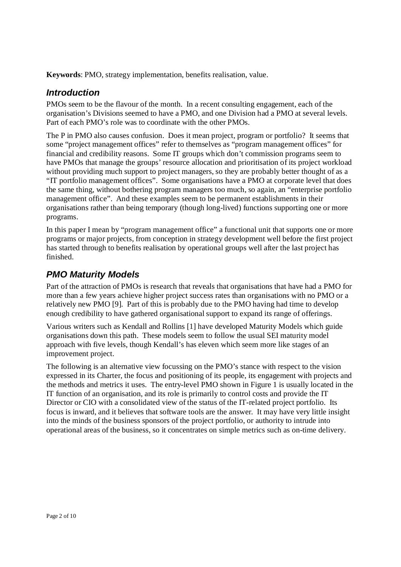**Keywords**: PMO, strategy implementation, benefits realisation, value.

### *Introduction*

PMOs seem to be the flavour of the month. In a recent consulting engagement, each of the organisation's Divisions seemed to have a PMO, and one Division had a PMO at several levels. Part of each PMO's role was to coordinate with the other PMOs.

The P in PMO also causes confusion. Does it mean project, program or portfolio? It seems that some "project management offices" refer to themselves as "program management offices" for financial and credibility reasons. Some IT groups which don't commission programs seem to have PMOs that manage the groups' resource allocation and prioritisation of its project workload without providing much support to project managers, so they are probably better thought of as a "IT portfolio management offices". Some organisations have a PMO at corporate level that does the same thing, without bothering program managers too much, so again, an "enterprise portfolio management office". And these examples seem to be permanent establishments in their organisations rather than being temporary (though long-lived) functions supporting one or more programs.

In this paper I mean by "program management office" a functional unit that supports one or more programs or major projects, from conception in strategy development well before the first project has started through to benefits realisation by operational groups well after the last project has finished.

## *PMO Maturity Models*

Part of the attraction of PMOs is research that reveals that organisations that have had a PMO for more than a few years achieve higher project success rates than organisations with no PMO or a relatively new PMO [9]. Part of this is probably due to the PMO having had time to develop enough credibility to have gathered organisational support to expand its range of offerings.

Various writers such as Kendall and Rollins [1] have developed Maturity Models which guide organisations down this path. These models seem to follow the usual SEI maturity model approach with five levels, though Kendall's has eleven which seem more like stages of an improvement project.

The following is an alternative view focussing on the PMO's stance with respect to the vision expressed in its Charter, the focus and positioning of its people, its engagement with projects and the methods and metrics it uses. The entry-level PMO shown in Figure 1 is usually located in the IT function of an organisation, and its role is primarily to control costs and provide the IT Director or CIO with a consolidated view of the status of the IT-related project portfolio. Its focus is inward, and it believes that software tools are the answer. It may have very little insight into the minds of the business sponsors of the project portfolio, or authority to intrude into operational areas of the business, so it concentrates on simple metrics such as on-time delivery.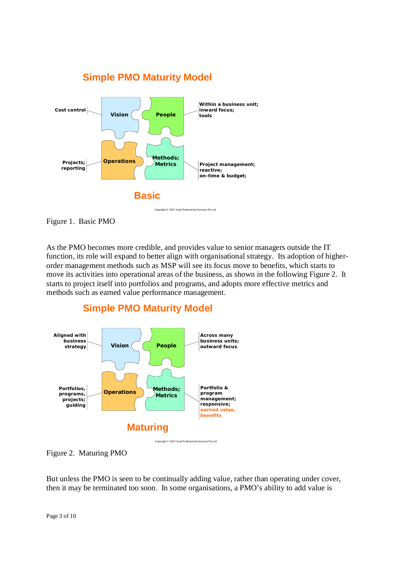



As the PMO becomes more credible, and provides value to senior managers outside the IT function, its role will expand to better align with organisational strategy. Its adoption of higherorder management methods such as MSP will see its focus move to benefits, which starts to move its activities into operational areas of the business, as shown in the following Figure 2. It starts to project itself into portfolios and programs, and adopts more effective metrics and methods such as earned value performance management.



## **Simple PMO Maturity Model**

But unless the PMO is seen to be continually adding value, rather than operating under cover, then it may be terminated too soon. In some organisations, a PMO's ability to add value is

Figure 2. Maturing PMO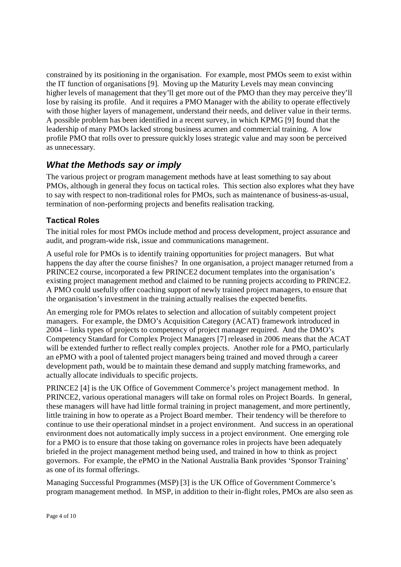constrained by its positioning in the organisation. For example, most PMOs seem to exist within the IT function of organisations [9]. Moving up the Maturity Levels may mean convincing higher levels of management that they'll get more out of the PMO than they may perceive they'll lose by raising its profile. And it requires a PMO Manager with the ability to operate effectively with those higher layers of management, understand their needs, and deliver value in their terms. A possible problem has been identified in a recent survey, in which KPMG [9] found that the leadership of many PMOs lacked strong business acumen and commercial training. A low profile PMO that rolls over to pressure quickly loses strategic value and may soon be perceived as unnecessary.

## *What the Methods say or imply*

The various project or program management methods have at least something to say about PMOs, although in general they focus on tactical roles. This section also explores what they have to say with respect to non-traditional roles for PMOs, such as maintenance of business-as-usual, termination of non-performing projects and benefits realisation tracking.

#### **Tactical Roles**

The initial roles for most PMOs include method and process development, project assurance and audit, and program-wide risk, issue and communications management.

A useful role for PMOs is to identify training opportunities for project managers. But what happens the day after the course finishes? In one organisation, a project manager returned from a PRINCE2 course, incorporated a few PRINCE2 document templates into the organisation's existing project management method and claimed to be running projects according to PRINCE2. A PMO could usefully offer coaching support of newly trained project managers, to ensure that the organisation's investment in the training actually realises the expected benefits.

An emerging role for PMOs relates to selection and allocation of suitably competent project managers. For example, the DMO's Acquisition Category (ACAT) framework introduced in 2004 – links types of projects to competency of project manager required. And the DMO's Competency Standard for Complex Project Managers [7] released in 2006 means that the ACAT will be extended further to reflect really complex projects. Another role for a PMO, particularly an ePMO with a pool of talented project managers being trained and moved through a career development path, would be to maintain these demand and supply matching frameworks, and actually allocate individuals to specific projects.

PRINCE2 [4] is the UK Office of Government Commerce's project management method. In PRINCE2, various operational managers will take on formal roles on Project Boards. In general, these managers will have had little formal training in project management, and more pertinently, little training in how to operate as a Project Board member. Their tendency will be therefore to continue to use their operational mindset in a project environment. And success in an operational environment does not automatically imply success in a project environment. One emerging role for a PMO is to ensure that those taking on governance roles in projects have been adequately briefed in the project management method being used, and trained in how to think as project governors. For example, the ePMO in the National Australia Bank provides 'Sponsor Training' as one of its formal offerings.

Managing Successful Programmes (MSP) [3] is the UK Office of Government Commerce's program management method. In MSP, in addition to their in-flight roles, PMOs are also seen as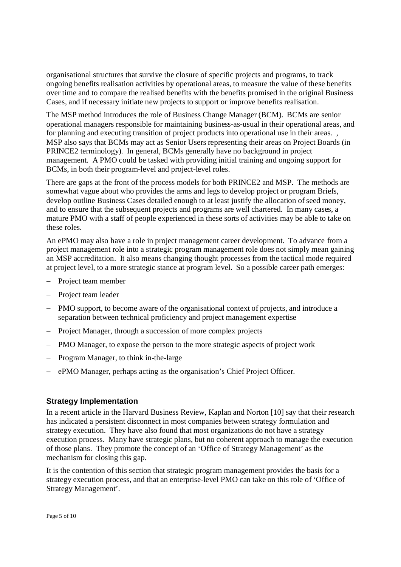organisational structures that survive the closure of specific projects and programs, to track ongoing benefits realisation activities by operational areas, to measure the value of these benefits over time and to compare the realised benefits with the benefits promised in the original Business Cases, and if necessary initiate new projects to support or improve benefits realisation.

The MSP method introduces the role of Business Change Manager (BCM). BCMs are senior operational managers responsible for maintaining business-as-usual in their operational areas, and for planning and executing transition of project products into operational use in their areas. , MSP also says that BCMs may act as Senior Users representing their areas on Project Boards (in PRINCE2 terminology). In general, BCMs generally have no background in project management. A PMO could be tasked with providing initial training and ongoing support for BCMs, in both their program-level and project-level roles.

There are gaps at the front of the process models for both PRINCE2 and MSP. The methods are somewhat vague about who provides the arms and legs to develop project or program Briefs, develop outline Business Cases detailed enough to at least justify the allocation of seed money, and to ensure that the subsequent projects and programs are well chartered. In many cases, a mature PMO with a staff of people experienced in these sorts of activities may be able to take on these roles.

An ePMO may also have a role in project management career development. To advance from a project management role into a strategic program management role does not simply mean gaining an MSP accreditation. It also means changing thought processes from the tactical mode required at project level, to a more strategic stance at program level. So a possible career path emerges:

- Project team member
- Project team leader
- PMO support, to become aware of the organisational context of projects, and introduce a separation between technical proficiency and project management expertise
- Project Manager, through a succession of more complex projects
- PMO Manager, to expose the person to the more strategic aspects of project work
- Program Manager, to think in-the-large
- ePMO Manager, perhaps acting as the organisation's Chief Project Officer.

#### **Strategy Implementation**

In a recent article in the Harvard Business Review, Kaplan and Norton [10] say that their research has indicated a persistent disconnect in most companies between strategy formulation and strategy execution. They have also found that most organizations do not have a strategy execution process. Many have strategic plans, but no coherent approach to manage the execution of those plans. They promote the concept of an 'Office of Strategy Management' as the mechanism for closing this gap.

It is the contention of this section that strategic program management provides the basis for a strategy execution process, and that an enterprise-level PMO can take on this role of 'Office of Strategy Management'.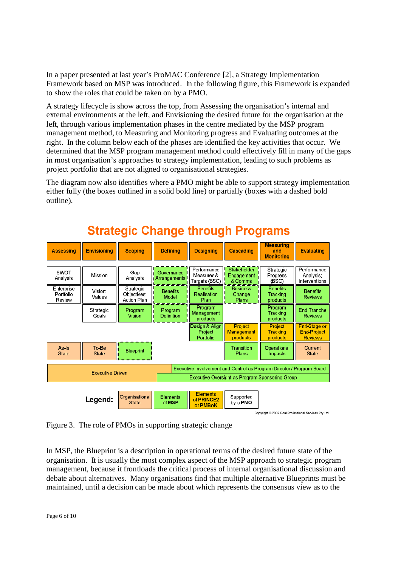In a paper presented at last year's ProMAC Conference [2], a Strategy Implementation Framework based on MSP was introduced. In the following figure, this Framework is expanded to show the roles that could be taken on by a PMO.

A strategy lifecycle is show across the top, from Assessing the organisation's internal and external environments at the left, and Envisioning the desired future for the organisation at the left, through various implementation phases in the centre mediated by the MSP program management method, to Measuring and Monitoring progress and Evaluating outcomes at the right. In the column below each of the phases are identified the key activities that occur. We determined that the MSP program management method could effectively fill in many of the gaps in most organisation's approaches to strategy implementation, leading to such problems as project portfolio that are not aligned to organisational strategies.

The diagram now also identifies where a PMO might be able to support strategy implementation either fully (the boxes outlined in a solid bold line) or partially (boxes with a dashed bold outline).



# **Strategic Change through Programs**

Figure 3. The role of PMOs in supporting strategic change

In MSP, the Blueprint is a description in operational terms of the desired future state of the organisation. It is usually the most complex aspect of the MSP approach to strategic program management, because it frontloads the critical process of internal organisational discussion and debate about alternatives. Many organisations find that multiple alternative Blueprints must be maintained, until a decision can be made about which represents the consensus view as to the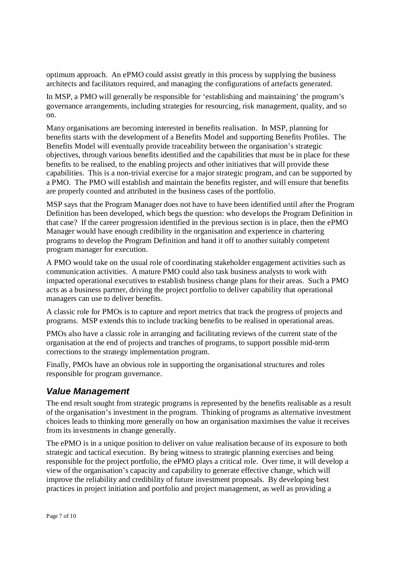optimum approach. An ePMO could assist greatly in this process by supplying the business architects and facilitators required, and managing the configurations of artefacts generated.

In MSP, a PMO will generally be responsible for 'establishing and maintaining' the program's governance arrangements, including strategies for resourcing, risk management, quality, and so on.

Many organisations are becoming interested in benefits realisation. In MSP, planning for benefits starts with the development of a Benefits Model and supporting Benefits Profiles. The Benefits Model will eventually provide traceability between the organisation's strategic objectives, through various benefits identified and the capabilities that must be in place for these benefits to be realised, to the enabling projects and other initiatives that will provide these capabilities. This is a non-trivial exercise for a major strategic program, and can be supported by a PMO. The PMO will establish and maintain the benefits register, and will ensure that benefits are properly counted and attributed in the business cases of the portfolio.

MSP says that the Program Manager does not have to have been identified until after the Program Definition has been developed, which begs the question: who develops the Program Definition in that case? If the career progression identified in the previous section is in place, then the ePMO Manager would have enough credibility in the organisation and experience in chartering programs to develop the Program Definition and hand it off to another suitably competent program manager for execution.

A PMO would take on the usual role of coordinating stakeholder engagement activities such as communication activities. A mature PMO could also task business analysts to work with impacted operational executives to establish business change plans for their areas. Such a PMO acts as a business partner, driving the project portfolio to deliver capability that operational managers can use to deliver benefits.

A classic role for PMOs is to capture and report metrics that track the progress of projects and programs. MSP extends this to include tracking benefits to be realised in operational areas.

PMOs also have a classic role in arranging and facilitating reviews of the current state of the organisation at the end of projects and tranches of programs, to support possible mid-term corrections to the strategy implementation program.

Finally, PMOs have an obvious role in supporting the organisational structures and roles responsible for program governance.

#### *Value Management*

The end result sought from strategic programs is represented by the benefits realisable as a result of the organisation's investment in the program. Thinking of programs as alternative investment choices leads to thinking more generally on how an organisation maximises the value it receives from its investments in change generally.

The ePMO is in a unique position to deliver on value realisation because of its exposure to both strategic and tactical execution. By being witness to strategic planning exercises and being responsible for the project portfolio, the ePMO plays a critical role. Over time, it will develop a view of the organisation's capacity and capability to generate effective change, which will improve the reliability and credibility of future investment proposals. By developing best practices in project initiation and portfolio and project management, as well as providing a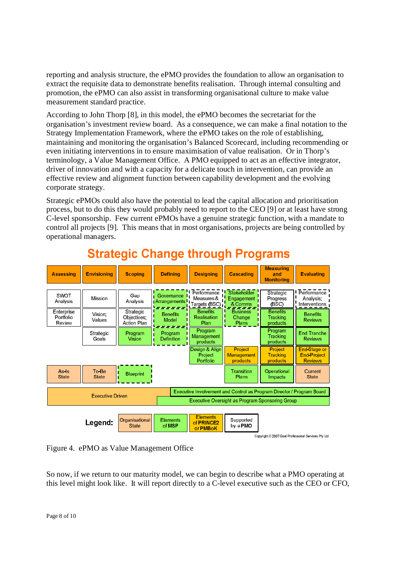reporting and analysis structure, the ePMO provides the foundation to allow an organisation to extract the requisite data to demonstrate benefits realisation. Through internal consulting and promotion, the ePMO can also assist in transforming organisational culture to make value measurement standard practice.

According to John Thorp [8], in this model, the ePMO becomes the secretariat for the organisation's investment review board. As a consequence, we can make a final notation to the Strategy Implementation Framework, where the ePMO takes on the role of establishing, maintaining and monitoring the organisation's Balanced Scorecard, including recommending or even initiating interventions in to ensure maximisation of value realisation. Or in Thorp's terminology, a Value Management Office. A PMO equipped to act as an effective integrator, driver of innovation and with a capacity for a delicate touch in intervention, can provide an effective review and alignment function between capability development and the evolving corporate strategy.

Strategic ePMOs could also have the potential to lead the capital allocation and prioritisation process, but to do this they would probably need to report to the CEO [9] or at least have strong C-level sponsorship. Few current ePMOs have a genuine strategic function, with a mandate to control all projects [9]. This means that in most organisations, projects are being controlled by operational managers.



# **Strategic Change through Programs**

Figure 4. ePMO as Value Management Office

So now, if we return to our maturity model, we can begin to describe what a PMO operating at this level might look like. It will report directly to a C-level executive such as the CEO or CFO,

Copyright © 2007 Goal Professional Services Pty Ltd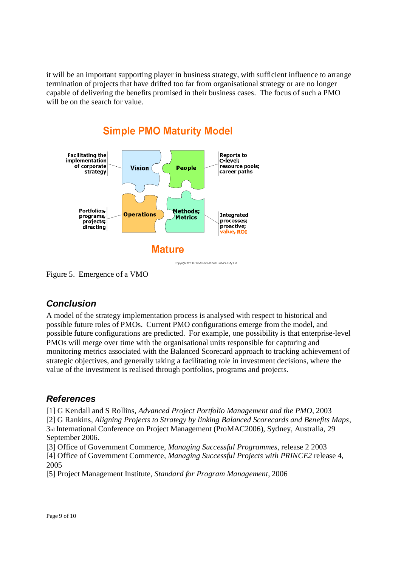it will be an important supporting player in business strategy, with sufficient influence to arrange termination of projects that have drifted too far from organisational strategy or are no longer capable of delivering the benefits promised in their business cases. The focus of such a PMO will be on the search for value.



**Simple PMO Maturity Model** 

Figure 5. Emergence of a VMO

## *Conclusion*

A model of the strategy implementation process is analysed with respect to historical and possible future roles of PMOs. Current PMO configurations emerge from the model, and possible future configurations are predicted. For example, one possibility is that enterprise-level PMOs will merge over time with the organisational units responsible for capturing and monitoring metrics associated with the Balanced Scorecard approach to tracking achievement of strategic objectives, and generally taking a facilitating role in investment decisions, where the value of the investment is realised through portfolios, programs and projects.

## *References*

[1] G Kendall and S Rollins, *Advanced Project Portfolio Management and the PMO*, 2003 [2] G Rankins, *Aligning Projects to Strategy by linking Balanced Scorecards and Benefits Maps*, 3rd International Conference on Project Management (ProMAC2006), Sydney, Australia, 29 September 2006.

[3] Office of Government Commerce, *Managing Successful Programmes,* release 2 2003 [4] Office of Government Commerce, *Managing Successful Projects with PRINCE2* release 4, 2005

[5] Project Management Institute, *Standard for Program Management*, 2006